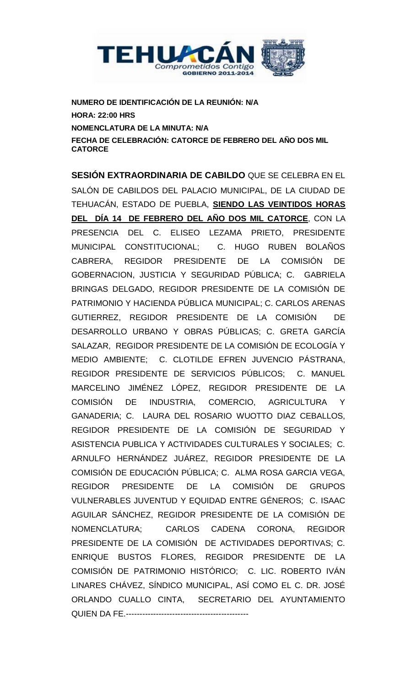

**NUMERO DE IDENTIFICACIÓN DE LA REUNIÓN: N/A HORA: 22:00 HRS NOMENCLATURA DE LA MINUTA: N/A FECHA DE CELEBRACIÓN: CATORCE DE FEBRERO DEL AÑO DOS MIL CATORCE**

**SESIÓN EXTRAORDINARIA DE CABILDO** QUE SE CELEBRA EN EL SALÓN DE CABILDOS DEL PALACIO MUNICIPAL, DE LA CIUDAD DE TEHUACÁN, ESTADO DE PUEBLA, **SIENDO LAS VEINTIDOS HORAS DEL DÍA 14 DE FEBRERO DEL AÑO DOS MIL CATORCE**, CON LA PRESENCIA DEL C. ELISEO LEZAMA PRIETO, PRESIDENTE MUNICIPAL CONSTITUCIONAL; C. HUGO RUBEN BOLAÑOS CABRERA, REGIDOR PRESIDENTE DE LA COMISIÓN DE GOBERNACION, JUSTICIA Y SEGURIDAD PÚBLICA; C. GABRIELA BRINGAS DELGADO, REGIDOR PRESIDENTE DE LA COMISIÓN DE PATRIMONIO Y HACIENDA PÚBLICA MUNICIPAL; C. CARLOS ARENAS GUTIERREZ, REGIDOR PRESIDENTE DE LA COMISIÓN DE DESARROLLO URBANO Y OBRAS PÚBLICAS; C. GRETA GARCÍA SALAZAR, REGIDOR PRESIDENTE DE LA COMISIÓN DE ECOLOGÍA Y MEDIO AMBIENTE; C. CLOTILDE EFREN JUVENCIO PÁSTRANA, REGIDOR PRESIDENTE DE SERVICIOS PÚBLICOS; C. MANUEL MARCELINO JIMÉNEZ LÓPEZ, REGIDOR PRESIDENTE DE LA COMISIÓN DE INDUSTRIA, COMERCIO, AGRICULTURA Y GANADERIA; C. LAURA DEL ROSARIO WUOTTO DIAZ CEBALLOS, REGIDOR PRESIDENTE DE LA COMISIÓN DE SEGURIDAD Y ASISTENCIA PUBLICA Y ACTIVIDADES CULTURALES Y SOCIALES; C. ARNULFO HERNÁNDEZ JUÁREZ, REGIDOR PRESIDENTE DE LA COMISIÓN DE EDUCACIÓN PÚBLICA; C. ALMA ROSA GARCIA VEGA, REGIDOR PRESIDENTE DE LA COMISIÓN DE GRUPOS VULNERABLES JUVENTUD Y EQUIDAD ENTRE GÉNEROS; C. ISAAC AGUILAR SÁNCHEZ, REGIDOR PRESIDENTE DE LA COMISIÓN DE NOMENCLATURA; CARLOS CADENA CORONA, REGIDOR PRESIDENTE DE LA COMISIÓN DE ACTIVIDADES DEPORTIVAS; C. ENRIQUE BUSTOS FLORES, REGIDOR PRESIDENTE DE LA COMISIÓN DE PATRIMONIO HISTÓRICO; C. LIC. ROBERTO IVÁN LINARES CHÁVEZ, SÍNDICO MUNICIPAL, ASÍ COMO EL C. DR. JOSÉ ORLANDO CUALLO CINTA, SECRETARIO DEL AYUNTAMIENTO QUIEN DA FE.---------------------------------------------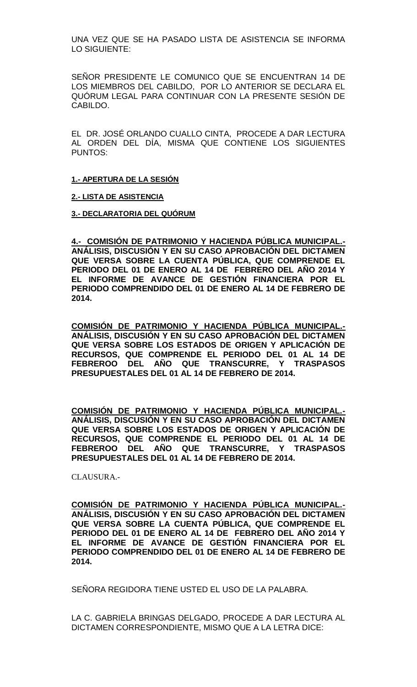UNA VEZ QUE SE HA PASADO LISTA DE ASISTENCIA SE INFORMA LO SIGUIENTE:

SEÑOR PRESIDENTE LE COMUNICO QUE SE ENCUENTRAN 14 DE LOS MIEMBROS DEL CABILDO, POR LO ANTERIOR SE DECLARA EL QUÓRUM LEGAL PARA CONTINUAR CON LA PRESENTE SESIÓN DE CABILDO.

EL DR. JOSÉ ORLANDO CUALLO CINTA, PROCEDE A DAR LECTURA AL ORDEN DEL DÍA, MISMA QUE CONTIENE LOS SIGUIENTES PUNTOS:

### **1.- APERTURA DE LA SESIÓN**

### **2.- LISTA DE ASISTENCIA**

**3.- DECLARATORIA DEL QUÓRUM**

**4.- COMISIÓN DE PATRIMONIO Y HACIENDA PÚBLICA MUNICIPAL.- ANÁLISIS, DISCUSIÓN Y EN SU CASO APROBACIÓN DEL DICTAMEN QUE VERSA SOBRE LA CUENTA PÚBLICA, QUE COMPRENDE EL PERIODO DEL 01 DE ENERO AL 14 DE FEBRERO DEL AÑO 2014 Y EL INFORME DE AVANCE DE GESTIÓN FINANCIERA POR EL PERIODO COMPRENDIDO DEL 01 DE ENERO AL 14 DE FEBRERO DE 2014.**

**COMISIÓN DE PATRIMONIO Y HACIENDA PÚBLICA MUNICIPAL.- ANÁLISIS, DISCUSIÓN Y EN SU CASO APROBACIÓN DEL DICTAMEN QUE VERSA SOBRE LOS ESTADOS DE ORIGEN Y APLICACIÓN DE RECURSOS, QUE COMPRENDE EL PERIODO DEL 01 AL 14 DE FEBREROO DEL AÑO QUE TRANSCURRE, Y TRASPASOS PRESUPUESTALES DEL 01 AL 14 DE FEBRERO DE 2014.**

**COMISIÓN DE PATRIMONIO Y HACIENDA PÚBLICA MUNICIPAL.- ANÁLISIS, DISCUSIÓN Y EN SU CASO APROBACIÓN DEL DICTAMEN QUE VERSA SOBRE LOS ESTADOS DE ORIGEN Y APLICACIÓN DE RECURSOS, QUE COMPRENDE EL PERIODO DEL 01 AL 14 DE FEBREROO DEL AÑO QUE TRANSCURRE, Y TRASPASOS PRESUPUESTALES DEL 01 AL 14 DE FEBRERO DE 2014.**

CLAUSURA.-

**COMISIÓN DE PATRIMONIO Y HACIENDA PÚBLICA MUNICIPAL.- ANÁLISIS, DISCUSIÓN Y EN SU CASO APROBACIÓN DEL DICTAMEN QUE VERSA SOBRE LA CUENTA PÚBLICA, QUE COMPRENDE EL PERIODO DEL 01 DE ENERO AL 14 DE FEBRERO DEL AÑO 2014 Y EL INFORME DE AVANCE DE GESTIÓN FINANCIERA POR EL PERIODO COMPRENDIDO DEL 01 DE ENERO AL 14 DE FEBRERO DE 2014.**

SEÑORA REGIDORA TIENE USTED EL USO DE LA PALABRA.

LA C. GABRIELA BRINGAS DELGADO, PROCEDE A DAR LECTURA AL DICTAMEN CORRESPONDIENTE, MISMO QUE A LA LETRA DICE: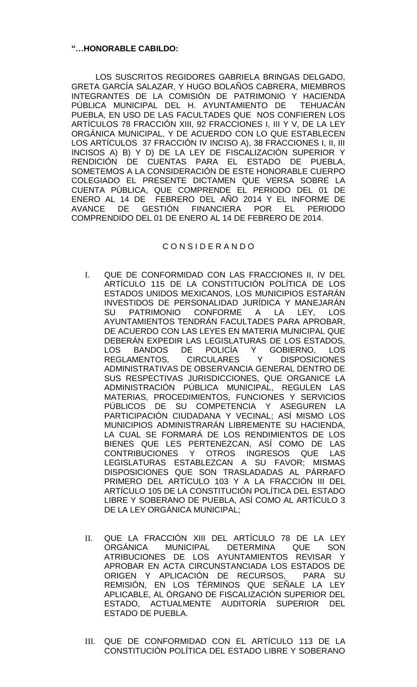## **"…HONORABLE CABILDO:**

LOS SUSCRITOS REGIDORES GABRIELA BRINGAS DELGADO, GRETA GARCÍA SALAZAR, Y HUGO BOLAÑOS CABRERA, MIEMBROS INTEGRANTES DE LA COMISIÓN DE PATRIMONIO Y HACIENDA PÚBLICA MUNICIPAL DEL H. AYUNTAMIENTO DE TEHUACÁN PUEBLA, EN USO DE LAS FACULTADES QUE NOS CONFIEREN LOS ARTÍCULOS 78 FRACCIÓN XIII, 92 FRACCIONES I, III Y V, DE LA LEY ORGÁNICA MUNICIPAL, Y DE ACUERDO CON LO QUE ESTABLECEN LOS ARTÍCULOS 37 FRACCIÓN IV INCISO A), 38 FRACCIONES I, II, III INCISOS A) B) Y D) DE LA LEY DE FISCALIZACIÓN SUPERIOR Y RENDICIÓN DE CUENTAS PARA EL ESTADO DE PUEBLA, SOMETEMOS A LA CONSIDERACIÓN DE ESTE HONORABLE CUERPO COLEGIADO EL PRESENTE DICTAMEN QUE VERSA SOBRE LA CUENTA PÚBLICA, QUE COMPRENDE EL PERIODO DEL 01 DE ENERO AL 14 DE FEBRERO DEL AÑO 2014 Y EL INFORME DE AVANCE DE GESTIÓN FINANCIERA POR EL PERIODO COMPRENDIDO DEL 01 DE ENERO AL 14 DE FEBRERO DE 2014.

# C O N S I D E R A N D O

- I. QUE DE CONFORMIDAD CON LAS FRACCIONES II, IV DEL ARTÍCULO 115 DE LA CONSTITUCIÓN POLÍTICA DE LOS ESTADOS UNIDOS MEXICANOS, LOS MUNICIPIOS ESTARÁN INVESTIDOS DE PERSONALIDAD JURÍDICA Y MANEJARÁN SU PATRIMONIO CONFORME A LA LEY, LOS AYUNTAMIENTOS TENDRÁN FACULTADES PARA APROBAR, DE ACUERDO CON LAS LEYES EN MATERIA MUNICIPAL QUE DEBERÁN EXPEDIR LAS LEGISLATURAS DE LOS ESTADOS, LOS BANDOS DE POLICÍA Y GOBIERNO, LOS REGLAMENTOS, CIRCULARES Y DISPOSICIONES ADMINISTRATIVAS DE OBSERVANCIA GENERAL DENTRO DE SUS RESPECTIVAS JURISDICCIONES, QUE ORGANICE LA ADMINISTRACIÓN PÚBLICA MUNICIPAL, REGULEN LAS MATERIAS, PROCEDIMIENTOS, FUNCIONES Y SERVICIOS PÚBLICOS DE SU COMPETENCIA Y ASEGUREN LA PARTICIPACIÓN CIUDADANA Y VECINAL; ASÍ MISMO LOS MUNICIPIOS ADMINISTRARÁN LIBREMENTE SU HACIENDA, LA CUAL SE FORMARÁ DE LOS RENDIMIENTOS DE LOS BIENES QUE LES PERTENEZCAN, ASÍ COMO DE LAS CONTRIBUCIONES Y OTROS INGRESOS QUE LAS LEGISLATURAS ESTABLEZCAN A SU FAVOR; MISMAS DISPOSICIONES QUE SON TRASLADADAS AL PÁRRAFO PRIMERO DEL ARTÍCULO 103 Y A LA FRACCIÓN III DEL ARTÍCULO 105 DE LA CONSTITUCIÓN POLÍTICA DEL ESTADO LIBRE Y SOBERANO DE PUEBLA, ASÍ COMO AL ARTÍCULO 3 DE LA LEY ORGÁNICA MUNICIPAL;
- II. QUE LA FRACCIÓN XIII DEL ARTÍCULO 78 DE LA LEY ORGÁNICA MUNICIPAL DETERMINA QUE SON ATRIBUCIONES DE LOS AYUNTAMIENTOS REVISAR Y APROBAR EN ACTA CIRCUNSTANCIADA LOS ESTADOS DE ORIGEN Y APLICACIÓN DE RECURSOS, PARA SU REMISIÓN, EN LOS TÉRMINOS QUE SEÑALE LA LEY APLICABLE, AL ÓRGANO DE FISCALIZACIÓN SUPERIOR DEL ESTADO, ACTUALMENTE AUDITORÍA SUPERIOR DEL ESTADO DE PUEBLA.
- III. QUE DE CONFORMIDAD CON EL ARTÍCULO 113 DE LA CONSTITUCIÓN POLÍTICA DEL ESTADO LIBRE Y SOBERANO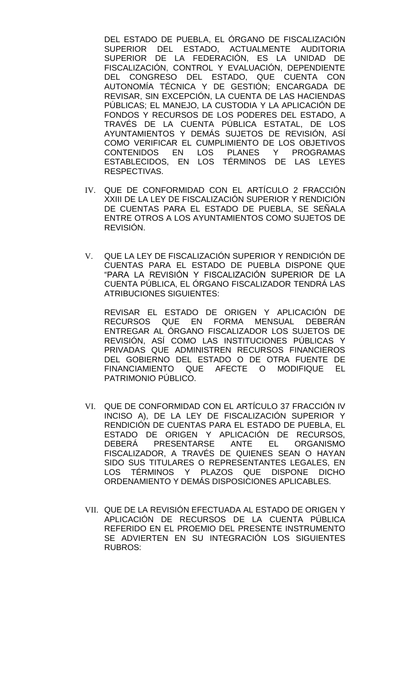DEL ESTADO DE PUEBLA, EL ÓRGANO DE FISCALIZACIÓN SUPERIOR DEL ESTADO, ACTUALMENTE AUDITORIA SUPERIOR DE LA FEDERACIÓN, ES LA UNIDAD DE FISCALIZACIÓN, CONTROL Y EVALUACIÓN, DEPENDIENTE DEL CONGRESO DEL ESTADO, QUE CUENTA CON AUTONOMÍA TÉCNICA Y DE GESTIÓN; ENCARGADA DE REVISAR, SIN EXCEPCIÓN, LA CUENTA DE LAS HACIENDAS PÚBLICAS; EL MANEJO, LA CUSTODIA Y LA APLICACIÓN DE FONDOS Y RECURSOS DE LOS PODERES DEL ESTADO, A TRAVÉS DE LA CUENTA PÚBLICA ESTATAL, DE LOS AYUNTAMIENTOS Y DEMAS SUJETOS DE REVISION, ASI COMO VERIFICAR EL CUMPLIMIENTO DE LOS OBJETIVOS CONTENIDOS EN LOS PLANES Y PROGRAMAS ESTABLECIDOS, EN LOS TÉRMINOS DE LAS LEYES RESPECTIVAS.

- IV. QUE DE CONFORMIDAD CON EL ARTÍCULO 2 FRACCIÓN XXIII DE LA LEY DE FISCALIZACIÓN SUPERIOR Y RENDICIÓN DE CUENTAS PARA EL ESTADO DE PUEBLA, SE SEÑALA ENTRE OTROS A LOS AYUNTAMIENTOS COMO SUJETOS DE REVISIÓN.
- V. QUE LA LEY DE FISCALIZACIÓN SUPERIOR Y RENDICIÓN DE CUENTAS PARA EL ESTADO DE PUEBLA DISPONE QUE "PARA LA REVISIÓN Y FISCALIZACIÓN SUPERIOR DE LA CUENTA PÚBLICA, EL ÓRGANO FISCALIZADOR TENDRÁ LAS ATRIBUCIONES SIGUIENTES:

REVISAR EL ESTADO DE ORIGEN Y APLICACIÓN DE RECURSOS QUE EN FORMA MENSUAL DEBERÁN ENTREGAR AL ÓRGANO FISCALIZADOR LOS SUJETOS DE REVISIÓN, ASÍ COMO LAS INSTITUCIONES PÚBLICAS Y PRIVADAS QUE ADMINISTREN RECURSOS FINANCIEROS DEL GOBIERNO DEL ESTADO O DE OTRA FUENTE DE FINANCIAMIENTO QUE AFECTE O MODIFIQUE EL PATRIMONIO PÚBLICO.

- VI. QUE DE CONFORMIDAD CON EL ARTÍCULO 37 FRACCIÓN IV INCISO A), DE LA LEY DE FISCALIZACIÓN SUPERIOR Y RENDICIÓN DE CUENTAS PARA EL ESTADO DE PUEBLA, EL ESTADO DE ORIGEN Y APLICACIÓN DE RECURSOS, DEBERÁ PRESENTARSE ANTE EL ORGANISMO FISCALIZADOR, A TRAVÉS DE QUIENES SEAN O HAYAN SIDO SUS TITULARES O REPRESENTANTES LEGALES, EN LOS TÉRMINOS Y PLAZOS QUE DISPONE DICHO ORDENAMIENTO Y DEMÁS DISPOSICIONES APLICABLES.
- VII. QUE DE LA REVISIÓN EFECTUADA AL ESTADO DE ORIGEN Y APLICACIÓN DE RECURSOS DE LA CUENTA PÚBLICA REFERIDO EN EL PROEMIO DEL PRESENTE INSTRUMENTO SE ADVIERTEN EN SU INTEGRACIÓN LOS SIGUIENTES RUBROS: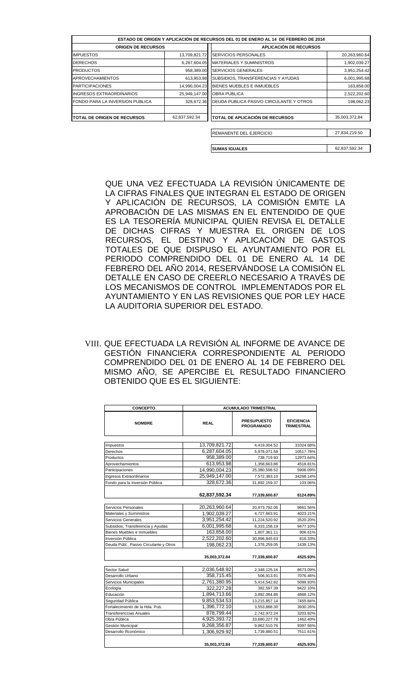| ESTADO DE ORIGEN Y APLICACIÓN DE RECURSOS DEL 01 DE ENERO AL 14 DE FEBRERO DE 2014 |               |                                         |               |  |
|------------------------------------------------------------------------------------|---------------|-----------------------------------------|---------------|--|
| <b>ORIGEN DE RECURSOS</b>                                                          |               | <b>APLICACIÓN DE RECURSOS</b>           |               |  |
| <b>IMPUESTOS</b>                                                                   | 13,709,821.72 | SERVICIOS PERSONALES                    | 20,263,960.64 |  |
| <b>DERECHOS</b>                                                                    | 6,287,604.05  | <b>MATERIALES Y SUMINISTROS</b>         | 1,902,039.27  |  |
| <b>PRODUCTOS</b>                                                                   | 958,389.00    | <b>SERVICIOS GENERALES</b>              | 3,951,254.42  |  |
| <b>APROVECHAMIENTOS</b>                                                            | 613,953.98    | SUBSIDIOS, TRANSFERENCIAS Y AYUDAS      | 6,001,995.68  |  |
| <b>PARTICIPACIONES</b>                                                             | 14,990,004.23 | BIENES MUEBLES E INMUEBLES              | 163,858.00    |  |
| <b>INGRESOS EXTRAORDINARIOS</b>                                                    | 25,949,147.00 | <b>OBRA PUBLICA</b>                     | 2,522,202.60  |  |
| FONDO PARA LA INVERSION PUBLICA                                                    | 328,672.36    | DEUDA PUBLICA PASIVO CIRCULANTE Y OTROS | 198,062.23    |  |
| <b>TOTAL DE ORIGEN DE RECURSOS</b>                                                 | 62,837,592.34 | TOTAL DE APLICACIÓN DE RECURSOS         | 35,003,372.84 |  |
|                                                                                    |               | REMANENTE DEL EJERCICIO                 | 27,834,219.50 |  |

**SUMAS IGUALES** 62,837,592.34

QUE UNA VEZ EFECTUADA LA REVISIÓN ÚNICAMENTE DE LA CIFRAS FINALES QUE INTEGRAN EL ESTADO DE ORIGEN Y APLICACIÓN DE RECURSOS, LA COMISIÓN EMITE LA APROBACIÓN DE LAS MISMAS EN EL ENTENDIDO DE QUE ES LA TESORERÍA MUNICIPAL QUIEN REVISA EL DETALLE DE DICHAS CIFRAS Y MUESTRA EL ORIGEN DE LOS RECURSOS, EL DESTINO Y APLICACIÓN DE GASTOS TOTALES DE QUE DISPUSO EL AYUNTAMIENTO POR EL PERIODO COMPRENDIDO DEL 01 DE ENERO AL 14 DE FEBRERO DEL AÑO 2014, RESERVÁNDOSE LA COMISIÓN EL DETALLE EN CASO DE CREERLO NECESARIO A TRAVÉS DE LOS MECANISMOS DE CONTROL IMPLEMENTADOS POR EL AYUNTAMIENTO Y EN LAS REVISIONES QUE POR LEY HACE LA AUDITORIA SUPERIOR DEL ESTADO.

VIII. QUE EFECTUADA LA REVISIÓN AL INFORME DE AVANCE DE GESTIÓN FINANCIERA CORRESPONDIENTE AL PERIODO COMPRENDIDO DEL 01 DE ENERO AL 14 DE FEBRERO DEL MISMO AÑO, SE APERCIBE EL RESULTADO FINANCIERO OBTENIDO QUE ES EL SIGUIENTE:

| <b>CONCEPTO</b>                        | <b>ACUMULADO TRIMESTRAL</b> |                                         |                                        |  |
|----------------------------------------|-----------------------------|-----------------------------------------|----------------------------------------|--|
| <b>NOMBRE</b>                          | <b>REAL</b>                 | <b>PRESUPUESTO</b><br><b>PROGRAMADO</b> | <b>EFICIENCIA</b><br><b>TRIMESTRAL</b> |  |
|                                        |                             |                                         |                                        |  |
| Impuestos                              | 13,709,821.72               | 4,419,004.52                            | 31024.68%                              |  |
| Derechos                               | 6,287,604.05                | 5,978,071.58                            | 10517.78%                              |  |
| Productos                              | 958,389.00                  | 738,719.93                              | 12973.64%                              |  |
| Aprovechamientos                       | 613,953.98                  | 1,358,663.86                            | 4518.81%                               |  |
| Participaciones                        | 14,990,004.23               | 25,380,598.52                           | 5906.09%                               |  |
| Ingresos Extraordinarios               | 25,949,147.00               | 7,572,383.10                            | 34268.14%                              |  |
| Fondo para la Inversión Pública        | 328,672.36                  | 31,892,159.37                           | 103.06%                                |  |
|                                        | 62,837,592.34               | 77,339,600.87                           | 8124.89%                               |  |
| Servicios Personales                   | 20.263.960.64               | 20,973,792.06                           | 9661.56%                               |  |
| Materiales y Suministros               | 1,902,039.27                | 4,727,663.91                            | 4023.21%                               |  |
| Servicios Generales                    | 3,951,254.42                | 11,224,520.92                           | 3520.20%                               |  |
| Subsidios, Transferencia y Ayudas      | 6,001,995.68                | 6,333,158.19                            | 9477.10%                               |  |
| Bienes Muebles e Inmuebles             | 163,858.00                  | 1,807,361.11                            | 906.61%                                |  |
| Inversión Pública                      | 2,522,202.60                | 30,896,845.63                           | 816.33%                                |  |
| Deuda Públ., Pasivo Circulante y Otros | 198,062.23                  | 1,376,259.05                            | 1439.13%                               |  |
|                                        | 35,003,372.84               | 77,339,600.87                           | 4525.93%                               |  |
| <b>Sector Salud</b>                    | 2,036,548.92                | 2,348,125.16                            | 8673.09%                               |  |
| Desarrollo Urbano                      | 358,715.45                  | 506,913.91                              | 7076.46%                               |  |
| Servicios Municipales                  | 2,761,380.95                | 5,414,542.82                            | 5099.93%                               |  |
| Ecología                               | 322.227.28                  | 382.597.39                              | 8422.10%                               |  |
| Educación                              | 1,894,713.66                | 3,892,084.86                            | 4868.12%                               |  |
| Seguridad Pública                      | 9.853.534.53                | 13,215,857.14                           | 7455.84%                               |  |
| Fortalecimiento de la Hda. Pub.        | 1,396,772.10                | 3,553,888.30                            | 3930.26%                               |  |
| <b>Transferenccias Anuales</b>         | 878,799.44                  | 2,742,972.24                            | 3203.82%                               |  |
| Obra Pública                           | 4,925,393.72                | 33,680,227.78                           | 1462.40%                               |  |
| Gestión Municipal                      | 9,268,356.87                | 9,862,510.76                            | 9397.56%                               |  |
| Desarrollo Rconómico                   | 1,306,929.92                | 1,739,880.51                            | 7511.61%                               |  |
|                                        | 35,003,372.84               | 77,339,600.87                           | 4525.93%                               |  |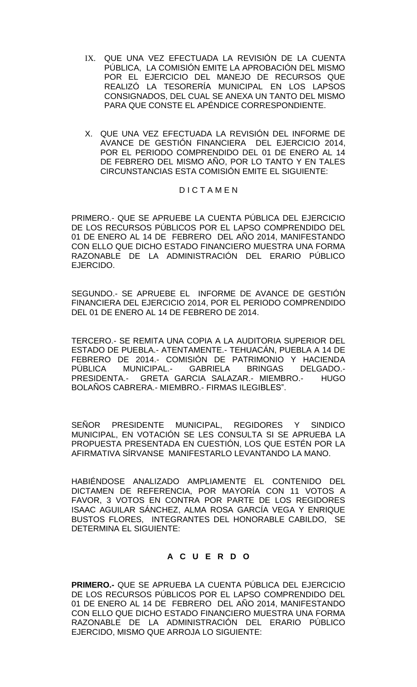- IX. QUE UNA VEZ EFECTUADA LA REVISIÓN DE LA CUENTA PÚBLICA, LA COMISIÓN EMITE LA APROBACIÓN DEL MISMO POR EL EJERCICIO DEL MANEJO DE RECURSOS QUE REALIZÓ LA TESORERÍA MUNICIPAL EN LOS LAPSOS CONSIGNADOS, DEL CUAL SE ANEXA UN TANTO DEL MISMO PARA QUE CONSTE EL APÉNDICE CORRESPONDIENTE.
- X. QUE UNA VEZ EFECTUADA LA REVISIÓN DEL INFORME DE AVANCE DE GESTIÓN FINANCIERA DEL EJERCICIO 2014, POR EL PERIODO COMPRENDIDO DEL 01 DE ENERO AL 14 DE FEBRERO DEL MISMO AÑO, POR LO TANTO Y EN TALES CIRCUNSTANCIAS ESTA COMISIÓN EMITE EL SIGUIENTE:

### D I C T A M E N

PRIMERO.- QUE SE APRUEBE LA CUENTA PÚBLICA DEL EJERCICIO DE LOS RECURSOS PÚBLICOS POR EL LAPSO COMPRENDIDO DEL 01 DE ENERO AL 14 DE FEBRERO DEL AÑO 2014, MANIFESTANDO CON ELLO QUE DICHO ESTADO FINANCIERO MUESTRA UNA FORMA RAZONABLE DE LA ADMINISTRACIÓN DEL ERARIO PÚBLICO EJERCIDO.

SEGUNDO.- SE APRUEBE EL INFORME DE AVANCE DE GESTIÓN FINANCIERA DEL EJERCICIO 2014, POR EL PERIODO COMPRENDIDO DEL 01 DE ENERO AL 14 DE FEBRERO DE 2014.

TERCERO.- SE REMITA UNA COPIA A LA AUDITORIA SUPERIOR DEL ESTADO DE PUEBLA.- ATENTAMENTE.- TEHUACÁN, PUEBLA A 14 DE FEBRERO DE 2014.- COMISIÓN DE PATRIMONIO Y HACIENDA PÚBLICA MUNICIPAL.- GABRIELA BRINGAS DELGADO.- PRESIDENTA.- GRETA GARCIA SALAZAR.- MIEMBRO.- HUGO BOLAÑOS CABRERA.- MIEMBRO.- FIRMAS ILEGIBLES".

SEÑOR PRESIDENTE MUNICIPAL, REGIDORES Y SINDICO MUNICIPAL, EN VOTACIÓN SE LES CONSULTA SI SE APRUEBA LA PROPUESTA PRESENTADA EN CUESTIÓN, LOS QUE ESTÉN POR LA AFIRMATIVA SÍRVANSE MANIFESTARLO LEVANTANDO LA MANO.

HABIÉNDOSE ANALIZADO AMPLIAMENTE EL CONTENIDO DEL DICTAMEN DE REFERENCIA, POR MAYORÍA CON 11 VOTOS A FAVOR, 3 VOTOS EN CONTRA POR PARTE DE LOS REGIDORES ISAAC AGUILAR SÁNCHEZ, ALMA ROSA GARCÍA VEGA Y ENRIQUE BUSTOS FLORES, INTEGRANTES DEL HONORABLE CABILDO, SE DETERMINA EL SIGUIENTE:

# **A C U E R D O**

**PRIMERO.-** QUE SE APRUEBA LA CUENTA PÚBLICA DEL EJERCICIO DE LOS RECURSOS PÚBLICOS POR EL LAPSO COMPRENDIDO DEL 01 DE ENERO AL 14 DE FEBRERO DEL AÑO 2014, MANIFESTANDO CON ELLO QUE DICHO ESTADO FINANCIERO MUESTRA UNA FORMA RAZONABLE DE LA ADMINISTRACIÓN DEL ERARIO PÚBLICO EJERCIDO, MISMO QUE ARROJA LO SIGUIENTE: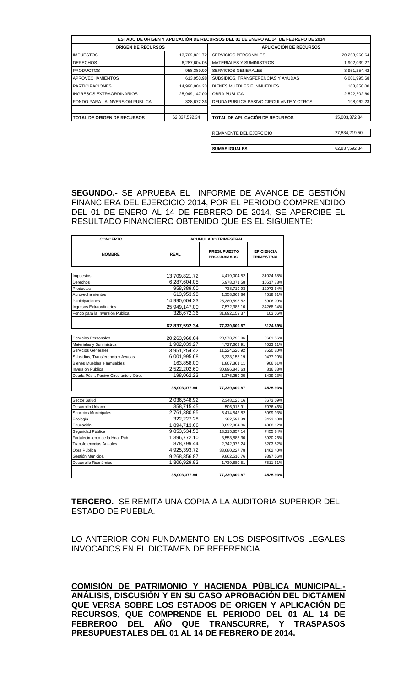|                                 |               | ESTADO DE ORIGEN Y APLICACIÓN DE RECURSOS DEL 01 DE ENERO AL 14 DE FEBRERO DE 2014 |               |
|---------------------------------|---------------|------------------------------------------------------------------------------------|---------------|
| <b>ORIGEN DE RECURSOS</b>       |               | <b>APLICACIÓN DE RECURSOS</b>                                                      |               |
| <b>IMPUESTOS</b>                | 13,709,821.72 | <b>SERVICIOS PERSONALES</b>                                                        | 20,263,960.64 |
| <b>DERECHOS</b>                 | 6,287,604.05  | <b>MATERIALES Y SUMINISTROS</b>                                                    | 1,902,039.27  |
| <b>PRODUCTOS</b>                | 958,389.00    | <b>SERVICIOS GENERALES</b>                                                         | 3,951,254.42  |
| <b>APROVECHAMIENTOS</b>         | 613,953.98    | SUBSIDIOS, TRANSFERENCIAS Y AYUDAS                                                 | 6,001,995.68  |
| <b>PARTICIPACIONES</b>          | 14,990,004.23 | BIENES MUEBLES E INMUEBLES                                                         | 163,858.00    |
| <b>INGRESOS EXTRAORDINARIOS</b> | 25,949,147.00 | <b>OBRA PUBLICA</b>                                                                | 2,522,202.60  |
| FONDO PARA LA INVERSION PUBLICA | 328,672.36    | DEUDA PUBLICA PASIVO CIRCULANTE Y OTROS                                            | 198,062.23    |
| TOTAL DE ORIGEN DE RECURSOS     | 62,837,592.34 | <b>TOTAL DE APLICACIÓN DE RECURSOS</b>                                             | 35,003,372.84 |
|                                 |               | REMANENTE DEL EJERCICIO                                                            | 27,834,219.50 |
|                                 |               |                                                                                    |               |
|                                 |               | <b>SUMAS IGUALES</b>                                                               | 62,837,592.34 |

**SEGUNDO.-** SE APRUEBA EL INFORME DE AVANCE DE GESTIÓN FINANCIERA DEL EJERCICIO 2014, POR EL PERIODO COMPRENDIDO DEL 01 DE ENERO AL 14 DE FEBRERO DE 2014, SE APERCIBE EL RESULTADO FINANCIERO OBTENIDO QUE ES EL SIGUIENTE:

| <b>CONCEPTO</b>                        | <b>ACUMULADO TRIMESTRAL</b> |                                         |                                        |  |
|----------------------------------------|-----------------------------|-----------------------------------------|----------------------------------------|--|
| <b>NOMBRE</b>                          | <b>REAL</b>                 | <b>PRESUPUESTO</b><br><b>PROGRAMADO</b> | <b>EFICIENCIA</b><br><b>TRIMESTRAL</b> |  |
|                                        |                             |                                         |                                        |  |
| Impuestos                              | 13,709,821.72               | 4,419,004.52                            | 31024.68%                              |  |
| Derechos                               | 6,287,604.05                | 5,978,071.58                            | 10517.78%                              |  |
| Productos                              | 958,389.00                  | 738,719.93                              | 12973.64%                              |  |
| Aprovechamientos                       | 613,953.98                  | 1,358,663.86                            | 4518.81%                               |  |
| Participaciones                        | 14,990,004.23               | 25,380,598.52                           | 5906.09%                               |  |
| Ingresos Extraordinarios               | 25,949,147.00               | 7,572,383.10                            | 34268.14%                              |  |
| Fondo para la Inversión Pública        | 328,672.36                  | 31,892,159.37                           | 103.06%                                |  |
|                                        |                             |                                         |                                        |  |
|                                        | 62,837,592.34               | 77,339,600.87                           | 8124.89%                               |  |
| Servicios Personales                   | 20,263,960.64               | 20,973,792.06                           | 9661.56%                               |  |
| Materiales y Suministros               | 1,902,039.27                | 4,727,663.91                            | 4023.21%                               |  |
| Servicios Generales                    | 3,951,254.42                | 11,224,520.92                           | 3520.20%                               |  |
| Subsidios, Transferencia y Ayudas      | 6,001,995.68                | 6,333,158.19                            | 9477.10%                               |  |
| Bienes Muebles e Inmuebles             | 163,858.00                  | 1,807,361.11                            | 906.61%                                |  |
| Inversión Pública                      | 2,522,202.60                | 30,896,845.63                           | 816.33%                                |  |
| Deuda Públ., Pasivo Circulante y Otros | 198,062.23                  | 1,376,259.05                            | 1439.13%                               |  |
|                                        | 35,003,372.84               | 77,339,600.87                           | 4525.93%                               |  |
| Sector Salud                           | 2,036,548.92                | 2,348,125.16                            | 8673.09%                               |  |
| Desarrollo Urbano                      | 358,715.45                  | 506,913.91                              | 7076.46%                               |  |
| Servicios Municipales                  | 2,761,380.95                | 5,414,542.82                            | 5099.93%                               |  |
| Ecología                               | 322,227.28                  | 382,597.39                              | 8422.10%                               |  |
| Educación                              | 1,894,713.66                | 3,892,084.86                            | 4868.12%                               |  |
| Sequridad Pública                      | 9,853,534.53                | 13,215,857.14                           | 7455.84%                               |  |
| Fortalecimiento de la Hda. Pub.        | 1,396,772.10                | 3,553,888.30                            | 3930.26%                               |  |
| <b>Transferenccias Anuales</b>         | 878,799.44                  | 2,742,972.24                            | 3203.82%                               |  |
| Obra Pública                           | 4,925,393.72                | 33,680,227.78                           | 1462.40%                               |  |
| Gestión Municipal                      | 9,268,356.87                | 9,862,510.76                            | 9397.56%                               |  |
| Desarrollo Rconómico                   | 1,306,929.92                | 1,739,880.51                            | 7511.61%                               |  |
|                                        | 35.003.372.84               | 77,339,600.87                           | 4525.93%                               |  |

**TERCERO.**- SE REMITA UNA COPIA A LA AUDITORIA SUPERIOR DEL ESTADO DE PUEBLA.

LO ANTERIOR CON FUNDAMENTO EN LOS DISPOSITIVOS LEGALES INVOCADOS EN EL DICTAMEN DE REFERENCIA.

**COMISIÓN DE PATRIMONIO Y HACIENDA PÚBLICA MUNICIPAL.- ANÁLISIS, DISCUSIÓN Y EN SU CASO APROBACIÓN DEL DICTAMEN QUE VERSA SOBRE LOS ESTADOS DE ORIGEN Y APLICACIÓN DE RECURSOS, QUE COMPRENDE EL PERIODO DEL 01 AL 14 DE FEBREROO DEL AÑO QUE TRANSCURRE, Y TRASPASOS PRESUPUESTALES DEL 01 AL 14 DE FEBRERO DE 2014.**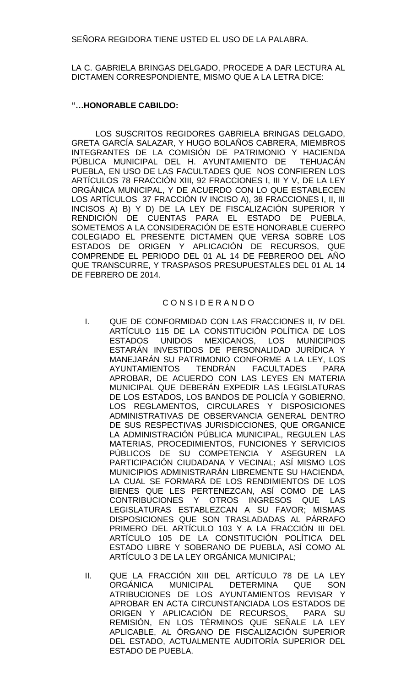SEÑORA REGIDORA TIENE USTED EL USO DE LA PALABRA.

LA C. GABRIELA BRINGAS DELGADO, PROCEDE A DAR LECTURA AL DICTAMEN CORRESPONDIENTE, MISMO QUE A LA LETRA DICE:

### **"…HONORABLE CABILDO:**

LOS SUSCRITOS REGIDORES GABRIELA BRINGAS DELGADO, GRETA GARCÍA SALAZAR, Y HUGO BOLAÑOS CABRERA, MIEMBROS INTEGRANTES DE LA COMISIÓN DE PATRIMONIO Y HACIENDA PÚBLICA MUNICIPAL DEL H. AYUNTAMIENTO DE TEHUACÁN PUEBLA, EN USO DE LAS FACULTADES QUE NOS CONFIEREN LOS ARTÍCULOS 78 FRACCIÓN XIII, 92 FRACCIONES I, III Y V, DE LA LEY ORGÁNICA MUNICIPAL, Y DE ACUERDO CON LO QUE ESTABLECEN LOS ARTÍCULOS 37 FRACCIÓN IV INCISO A), 38 FRACCIONES I, II, III INCISOS A) B) Y D) DE LA LEY DE FISCALIZACIÓN SUPERIOR Y RENDICIÓN DE CUENTAS PARA EL ESTADO DE PUEBLA, SOMETEMOS A LA CONSIDERACIÓN DE ESTE HONORABLE CUERPO COLEGIADO EL PRESENTE DICTAMEN QUE VERSA SOBRE LOS ESTADOS DE ORIGEN Y APLICACIÓN DE RECURSOS, QUE COMPRENDE EL PERIODO DEL 01 AL 14 DE FEBREROO DEL AÑO QUE TRANSCURRE, Y TRASPASOS PRESUPUESTALES DEL 01 AL 14 DE FEBRERO DE 2014.

### C O N S I D E R A N D O

- I. QUE DE CONFORMIDAD CON LAS FRACCIONES II, IV DEL ARTÍCULO 115 DE LA CONSTITUCIÓN POLÍTICA DE LOS ESTADOS UNIDOS MEXICANOS, LOS MUNICIPIOS ESTARÁN INVESTIDOS DE PERSONALIDAD JURÍDICA Y MANEJARÁN SU PATRIMONIO CONFORME A LA LEY, LOS AYUNTAMIENTOS TENDRÁN FACULTADES PARA APROBAR, DE ACUERDO CON LAS LEYES EN MATERIA MUNICIPAL QUE DEBERÁN EXPEDIR LAS LEGISLATURAS DE LOS ESTADOS, LOS BANDOS DE POLICÍA Y GOBIERNO, LOS REGLAMENTOS, CIRCULARES Y DISPOSICIONES ADMINISTRATIVAS DE OBSERVANCIA GENERAL DENTRO DE SUS RESPECTIVAS JURISDICCIONES, QUE ORGANICE LA ADMINISTRACIÓN PÚBLICA MUNICIPAL, REGULEN LAS MATERIAS, PROCEDIMIENTOS, FUNCIONES Y SERVICIOS PÚBLICOS DE SU COMPETENCIA Y ASEGUREN LA PARTICIPACIÓN CIUDADANA Y VECINAL; ASÍ MISMO LOS MUNICIPIOS ADMINISTRARÁN LIBREMENTE SU HACIENDA, LA CUAL SE FORMARÁ DE LOS RENDIMIENTOS DE LOS BIENES QUE LES PERTENEZCAN, ASÍ COMO DE LAS CONTRIBUCIONES Y OTROS INGRESOS QUE LAS LEGISLATURAS ESTABLEZCAN A SU FAVOR; MISMAS DISPOSICIONES QUE SON TRASLADADAS AL PÁRRAFO PRIMERO DEL ARTÍCULO 103 Y A LA FRACCIÓN III DEL ARTÍCULO 105 DE LA CONSTITUCIÓN POLÍTICA DEL ESTADO LIBRE Y SOBERANO DE PUEBLA, ASÍ COMO AL ARTÍCULO 3 DE LA LEY ORGÁNICA MUNICIPAL;
- II. QUE LA FRACCIÓN XIII DEL ARTÍCULO 78 DE LA LEY ORGÁNICA MUNICIPAL DETERMINA QUE SON ATRIBUCIONES DE LOS AYUNTAMIENTOS REVISAR Y APROBAR EN ACTA CIRCUNSTANCIADA LOS ESTADOS DE ORIGEN Y APLICACIÓN DE RECURSOS, PARA SU REMISIÓN, EN LOS TÉRMINOS QUE SEÑALE LA LEY APLICABLE, AL ÓRGANO DE FISCALIZACIÓN SUPERIOR DEL ESTADO, ACTUALMENTE AUDITORÍA SUPERIOR DEL ESTADO DE PUEBLA.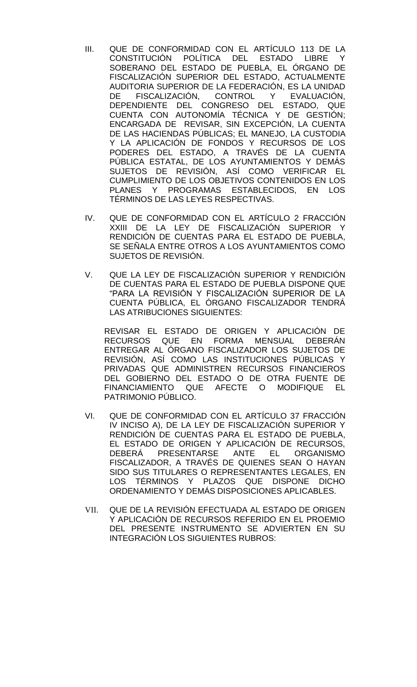- III. QUE DE CONFORMIDAD CON EL ARTÍCULO 113 DE LA CONSTITUCIÓN POLÍTICA DEL ESTADO LIBRE Y SOBERANO DEL ESTADO DE PUEBLA, EL ÓRGANO DE FISCALIZACIÓN SUPERIOR DEL ESTADO, ACTUALMENTE AUDITORIA SUPERIOR DE LA FEDERACIÓN, ES LA UNIDAD DE FISCALIZACIÓN, CONTROL Y EVALUACIÓN, DEPENDIENTE DEL CONGRESO DEL ESTADO, QUE CUENTA CON AUTONOMÍA TÉCNICA Y DE GESTIÓN; ENCARGADA DE REVISAR, SIN EXCEPCIÓN, LA CUENTA DE LAS HACIENDAS PÚBLICAS; EL MANEJO, LA CUSTODIA Y LA APLICACIÓN DE FONDOS Y RECURSOS DE LOS PODERES DEL ESTADO, A TRAVÉS DE LA CUENTA PÚBLICA ESTATAL, DE LOS AYUNTAMIENTOS Y DEMÁS SUJETOS DE REVISIÓN, ASÍ COMO VERIFICAR EL CUMPLIMIENTO DE LOS OBJETIVOS CONTENIDOS EN LOS PLANES Y PROGRAMAS ESTABLECIDOS, EN LOS TÉRMINOS DE LAS LEYES RESPECTIVAS.
- IV. QUE DE CONFORMIDAD CON EL ARTÍCULO 2 FRACCIÓN XXIII DE LA LEY DE FISCALIZACIÓN SUPERIOR Y RENDICIÓN DE CUENTAS PARA EL ESTADO DE PUEBLA, SE SEÑALA ENTRE OTROS A LOS AYUNTAMIENTOS COMO SUJETOS DE REVISIÓN.
- V. QUE LA LEY DE FISCALIZACIÓN SUPERIOR Y RENDICIÓN DE CUENTAS PARA EL ESTADO DE PUEBLA DISPONE QUE "PARA LA REVISIÓN Y FISCALIZACIÓN SUPERIOR DE LA CUENTA PÚBLICA, EL ÓRGANO FISCALIZADOR TENDRÁ LAS ATRIBUCIONES SIGUIENTES:

REVISAR EL ESTADO DE ORIGEN Y APLICACIÓN DE RECURSOS QUE EN FORMA MENSUAL DEBERÁN ENTREGAR AL ÓRGANO FISCALIZADOR LOS SUJETOS DE REVISIÓN, ASÍ COMO LAS INSTITUCIONES PÚBLICAS Y PRIVADAS QUE ADMINISTREN RECURSOS FINANCIEROS DEL GOBIERNO DEL ESTADO O DE OTRA FUENTE DE FINANCIAMIENTO QUE AFECTE O MODIFIQUE EL PATRIMONIO PÚBLICO.

- VI. QUE DE CONFORMIDAD CON EL ARTÍCULO 37 FRACCIÓN IV INCISO A), DE LA LEY DE FISCALIZACIÓN SUPERIOR Y RENDICIÓN DE CUENTAS PARA EL ESTADO DE PUEBLA, EL ESTADO DE ORIGEN Y APLICACIÓN DE RECURSOS, DEBERÁ PRESENTARSE ANTE EL ORGANISMO FISCALIZADOR, A TRAVÉS DE QUIENES SEAN O HAYAN SIDO SUS TITULARES O REPRESENTANTES LEGALES, EN LOS TÉRMINOS Y PLAZOS QUE DISPONE DICHO ORDENAMIENTO Y DEMÁS DISPOSICIONES APLICABLES.
- VII. QUE DE LA REVISIÓN EFECTUADA AL ESTADO DE ORIGEN Y APLICACIÓN DE RECURSOS REFERIDO EN EL PROEMIO DEL PRESENTE INSTRUMENTO SE ADVIERTEN EN SU INTEGRACIÓN LOS SIGUIENTES RUBROS: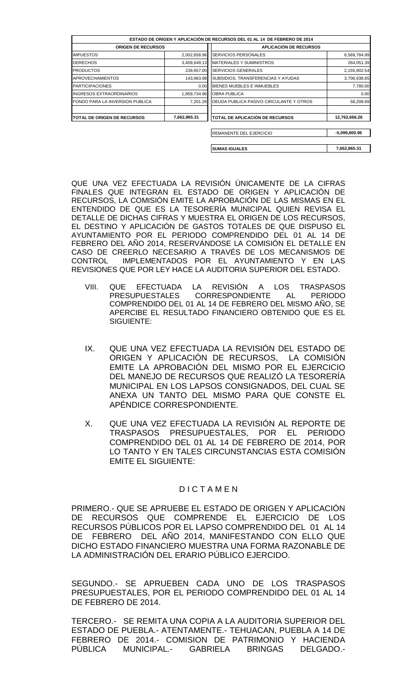|                                 |              | ESTADO DE ORIGEN Y APLICACIÓN DE RECURSOS DEL 01 AL 14 DE FEBRERO DE 2014 |                 |
|---------------------------------|--------------|---------------------------------------------------------------------------|-----------------|
| <b>ORIGEN DE RECURSOS</b>       |              | <b>APLICACIÓN DE RECURSOS</b>                                             |                 |
| <b>IMPUESTOS</b>                | 2,002,658.96 | <b>SERVICIOS PERSONALES</b>                                               | 6,569,784.99    |
| <b>DERECHOS</b>                 | 3,409,649.13 | <b>MATERIALES Y SUMINISTROS</b>                                           | 264,051.39      |
| <b>PRODUCTOS</b>                | 239,657.00   | <b>SERVICIOS GENERALES</b>                                                | 2,155,902.54    |
| <b>APROVECHAMIENTOS</b>         | 143,963.98   | SUBSIDIOS, TRANSFERENCIAS Y AYUDAS                                        | 3,706,938.65    |
| <b>PARTICIPACIONES</b>          | 0.00         | BIENES MUEBLES E INMUEBLES                                                | 7,780.00        |
| INGRESOS EXTRAORDINARIOS        | 1,859,734.96 | <b>OBRA PUBLICA</b>                                                       | 0.00            |
| FONDO PARA LA INVERSION PUBLICA | 7.201.28     | DEUDA PUBLICA PASIVO CIRCULANTE Y OTROS                                   | 58,208.69       |
| TOTAL DE ORIGEN DE RECURSOS     | 7,662,865.31 | <b>TOTAL DE APLICACIÓN DE RECURSOS</b>                                    | 12,762,666.26   |
|                                 |              | REMANENTE DEL EJERCICIO                                                   | $-5,099,800.95$ |
|                                 |              |                                                                           |                 |
|                                 |              | <b>SUMAS IGUALES</b>                                                      | 7,662,865.31    |

QUE UNA VEZ EFECTUADA LA REVISIÓN ÚNICAMENTE DE LA CIFRAS FINALES QUE INTEGRAN EL ESTADO DE ORIGEN Y APLICACIÓN DE RECURSOS, LA COMISIÓN EMITE LA APROBACIÓN DE LAS MISMAS EN EL ENTENDIDO DE QUE ES LA TESORERÍA MUNICIPAL QUIEN REVISA EL DETALLE DE DICHAS CIFRAS Y MUESTRA EL ORIGEN DE LOS RECURSOS, EL DESTINO Y APLICACIÓN DE GASTOS TOTALES DE QUE DISPUSO EL AYUNTAMIENTO POR EL PERIODO COMPRENDIDO DEL 01 AL 14 DE FEBRERO DEL AÑO 2014, RESERVÁNDOSE LA COMISIÓN EL DETALLE EN CASO DE CREERLO NECESARIO A TRAVÉS DE LOS MECANISMOS DE CONTROL IMPLEMENTADOS POR EL AYUNTAMIENTO Y EN LAS REVISIONES QUE POR LEY HACE LA AUDITORIA SUPERIOR DEL ESTADO.

- VIII. QUE EFECTUADA LA REVISIÓN A LOS TRASPASOS PRESUPUESTALES CORRESPONDIENTE AL PERIODO COMPRENDIDO DEL 01 AL 14 DE FEBRERO DEL MISMO AÑO, SE APERCIBE EL RESULTADO FINANCIERO OBTENIDO QUE ES EL SIGUIENTE:
- IX. QUE UNA VEZ EFECTUADA LA REVISIÓN DEL ESTADO DE ORIGEN Y APLICACIÓN DE RECURSOS, LA COMISIÓN EMITE LA APROBACIÓN DEL MISMO POR EL EJERCICIO DEL MANEJO DE RECURSOS QUE REALIZÓ LA TESORERÍA MUNICIPAL EN LOS LAPSOS CONSIGNADOS, DEL CUAL SE ANEXA UN TANTO DEL MISMO PARA QUE CONSTE EL APÉNDICE CORRESPONDIENTE.
- X. QUE UNA VEZ EFECTUADA LA REVISIÓN AL REPORTE DE TRASPASOS PRESUPUESTALES, POR EL PERIODO COMPRENDIDO DEL 01 AL 14 DE FEBRERO DE 2014, POR LO TANTO Y EN TALES CIRCUNSTANCIAS ESTA COMISIÓN EMITE EL SIGUIENTE:

# D I C T A M E N

PRIMERO.- QUE SE APRUEBE EL ESTADO DE ORIGEN Y APLICACIÓN DE RECURSOS QUE COMPRENDE EL EJERCICIO DE LOS RECURSOS PÚBLICOS POR EL LAPSO COMPRENDIDO DEL 01 AL 14 DE FEBRERO DEL AÑO 2014, MANIFESTANDO CON ELLO QUE DICHO ESTADO FINANCIERO MUESTRA UNA FORMA RAZONABLE DE LA ADMINISTRACIÓN DEL ERARIO PÚBLICO EJERCIDO.

SEGUNDO.- SE APRUEBEN CADA UNO DE LOS TRASPASOS PRESUPUESTALES, POR EL PERIODO COMPRENDIDO DEL 01 AL 14 DE FEBRERO DE 2014.

TERCERO.- SE REMITA UNA COPIA A LA AUDITORIA SUPERIOR DEL ESTADO DE PUEBLA.- ATENTAMENTE.- TEHUACAN, PUEBLA A 14 DE FEBRERO DE 2014.- COMISION DE PATRIMONIO Y HACIENDA PÚBLICA MUNICIPAL.- GABRIELA BRINGAS DELGADO.-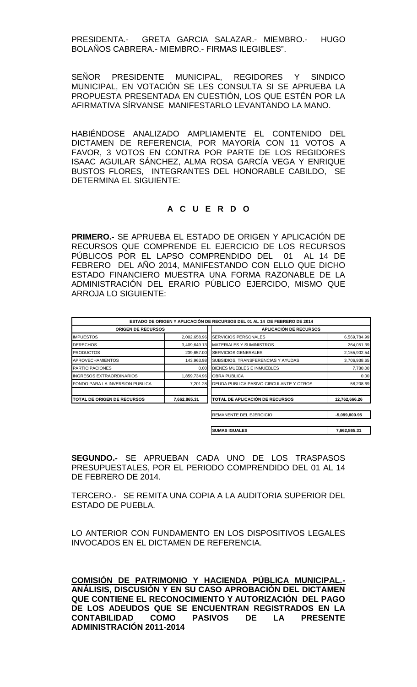PRESIDENTA.- GRETA GARCIA SALAZAR.- MIEMBRO.- HUGO BOLAÑOS CABRERA.- MIEMBRO.- FIRMAS ILEGIBLES".

SEÑOR PRESIDENTE MUNICIPAL, REGIDORES Y SINDICO MUNICIPAL, EN VOTACIÓN SE LES CONSULTA SI SE APRUEBA LA PROPUESTA PRESENTADA EN CUESTIÓN, LOS QUE ESTÉN POR LA AFIRMATIVA SÍRVANSE MANIFESTARLO LEVANTANDO LA MANO.

HABIÉNDOSE ANALIZADO AMPLIAMENTE EL CONTENIDO DEL DICTAMEN DE REFERENCIA, POR MAYORÍA CON 11 VOTOS A FAVOR, 3 VOTOS EN CONTRA POR PARTE DE LOS REGIDORES ISAAC AGUILAR SÁNCHEZ, ALMA ROSA GARCÍA VEGA Y ENRIQUE BUSTOS FLORES, INTEGRANTES DEL HONORABLE CABILDO, SE DETERMINA EL SIGUIENTE:

### **A C U E R D O**

**PRIMERO.-** SE APRUEBA EL ESTADO DE ORIGEN Y APLICACIÓN DE RECURSOS QUE COMPRENDE EL EJERCICIO DE LOS RECURSOS PÚBLICOS POR EL LAPSO COMPRENDIDO DEL 01 AL 14 DE FEBRERO DEL AÑO 2014, MANIFESTANDO CON ELLO QUE DICHO ESTADO FINANCIERO MUESTRA UNA FORMA RAZONABLE DE LA ADMINISTRACIÓN DEL ERARIO PÚBLICO EJERCIDO, MISMO QUE ARROJA LO SIGUIENTE:

|                                    |              | ESTADO DE ORIGEN Y APLICACIÓN DE RECURSOS DEL 01 AL 14 DE FEBRERO DE 2014 |                 |
|------------------------------------|--------------|---------------------------------------------------------------------------|-----------------|
| <b>ORIGEN DE RECURSOS</b>          |              | <b>APLICACIÓN DE RECURSOS</b>                                             |                 |
| <b>IMPUESTOS</b>                   | 2,002,658.96 | <b>SERVICIOS PERSONALES</b>                                               | 6,569,784.99    |
| <b>DERECHOS</b>                    | 3,409,649.13 | <b>MATERIALES Y SUMINISTROS</b>                                           | 264,051.39      |
| <b>PRODUCTOS</b>                   | 239,657.00   | <b>SERVICIOS GENERALES</b>                                                | 2,155,902.54    |
| <b>APROVECHAMIENTOS</b>            | 143,963.98   | SUBSIDIOS, TRANSFERENCIAS Y AYUDAS                                        | 3,706,938.65    |
| <b>PARTICIPACIONES</b>             | 0.00         | BIENES MUEBLES E INMUEBLES                                                | 7,780.00        |
| <b>INGRESOS EXTRAORDINARIOS</b>    | 1,859,734.96 | <b>OBRA PUBLICA</b>                                                       | 0.00            |
| FONDO PARA LA INVERSION PUBLICA    | 7.201.28     | DEUDA PUBLICA PASIVO CIRCULANTE Y OTROS                                   | 58,208.69       |
| <b>TOTAL DE ORIGEN DE RECURSOS</b> | 7,662,865.31 | TOTAL DE APLICACIÓN DE RECURSOS                                           | 12,762,666.26   |
|                                    |              | REMANENTE DEL EJERCICIO                                                   | $-5,099,800.95$ |
|                                    |              | <b>SUMAS IGUALES</b>                                                      | 7,662,865.31    |

**SEGUNDO.-** SE APRUEBAN CADA UNO DE LOS TRASPASOS PRESUPUESTALES, POR EL PERIODO COMPRENDIDO DEL 01 AL 14 DE FEBRERO DE 2014.

TERCERO.- SE REMITA UNA COPIA A LA AUDITORIA SUPERIOR DEL ESTADO DE PUEBLA.

LO ANTERIOR CON FUNDAMENTO EN LOS DISPOSITIVOS LEGALES INVOCADOS EN EL DICTAMEN DE REFERENCIA.

**COMISIÓN DE PATRIMONIO Y HACIENDA PÚBLICA MUNICIPAL.- ANÁLISIS, DISCUSIÓN Y EN SU CASO APROBACIÓN DEL DICTAMEN QUE CONTIENE EL RECONOCIMIENTO Y AUTORIZACIÓN DEL PAGO DE LOS ADEUDOS QUE SE ENCUENTRAN REGISTRADOS EN LA CONTABILIDAD COMO PASIVOS DE LA PRESENTE ADMINISTRACIÓN 2011-2014**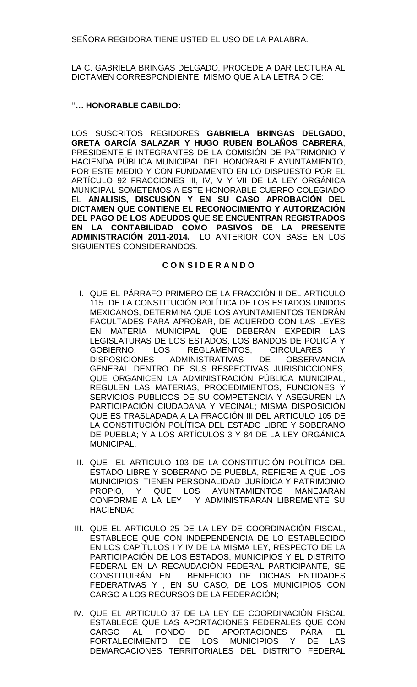SEÑORA REGIDORA TIENE USTED EL USO DE LA PALABRA.

LA C. GABRIELA BRINGAS DELGADO, PROCEDE A DAR LECTURA AL DICTAMEN CORRESPONDIENTE, MISMO QUE A LA LETRA DICE:

## **"… HONORABLE CABILDO:**

LOS SUSCRITOS REGIDORES **GABRIELA BRINGAS DELGADO, GRETA GARCÍA SALAZAR Y HUGO RUBEN BOLAÑOS CABRERA**, PRESIDENTE E INTEGRANTES DE LA COMISIÓN DE PATRIMONIO Y HACIENDA PÚBLICA MUNICIPAL DEL HONORABLE AYUNTAMIENTO, POR ESTE MEDIO Y CON FUNDAMENTO EN LO DISPUESTO POR EL ARTÍCULO 92 FRACCIONES III, IV, V Y VII DE LA LEY ORGÁNICA MUNICIPAL SOMETEMOS A ESTE HONORABLE CUERPO COLEGIADO EL **ANALISIS, DISCUSIÓN Y EN SU CASO APROBACIÓN DEL DICTAMEN QUE CONTIENE EL RECONOCIMIENTO Y AUTORIZACIÓN DEL PAGO DE LOS ADEUDOS QUE SE ENCUENTRAN REGISTRADOS EN LA CONTABILIDAD COMO PASIVOS DE LA PRESENTE ADMINISTRACIÓN 2011-2014.** LO ANTERIOR CON BASE EN LOS SIGUIENTES CONSIDERANDOS.

### **C O N S I D E R A N D O**

- I. QUE EL PÁRRAFO PRIMERO DE LA FRACCIÓN II DEL ARTICULO 115 DE LA CONSTITUCIÓN POLÍTICA DE LOS ESTADOS UNIDOS MEXICANOS, DETERMINA QUE LOS AYUNTAMIENTOS TENDRÁN FACULTADES PARA APROBAR, DE ACUERDO CON LAS LEYES EN MATERIA MUNICIPAL QUE DEBERÁN EXPEDIR LAS LEGISLATURAS DE LOS ESTADOS, LOS BANDOS DE POLICÍA Y GOBIERNO, LOS REGLAMENTOS, CIRCULARES Y DISPOSICIONES ADMINISTRATIVAS DE OBSERVANCIA GENERAL DENTRO DE SUS RESPECTIVAS JURISDICCIONES, QUE ORGANICEN LA ADMINISTRACIÓN PÚBLICA MUNICIPAL, REGULEN LAS MATERIAS, PROCEDIMIENTOS, FUNCIONES Y SERVICIOS PÚBLICOS DE SU COMPETENCIA Y ASEGUREN LA PARTICIPACIÓN CIUDADANA Y VECINAL; MISMA DISPOSICIÓN QUE ES TRASLADADA A LA FRACCIÓN III DEL ARTICULO 105 DE LA CONSTITUCIÓN POLÍTICA DEL ESTADO LIBRE Y SOBERANO DE PUEBLA; Y A LOS ARTÍCULOS 3 Y 84 DE LA LEY ORGÁNICA MUNICIPAL.
- II. QUE EL ARTICULO 103 DE LA CONSTITUCIÓN POLÍTICA DEL ESTADO LIBRE Y SOBERANO DE PUEBLA, REFIERE A QUE LOS MUNICIPIOS TIENEN PERSONALIDAD JURÍDICA Y PATRIMONIO PROPIO, Y QUE LOS AYUNTAMIENTOS MANEJARAN CONFORME A LA LEY Y ADMINISTRARAN LIBREMENTE SU HACIENDA;
- III. QUE EL ARTICULO 25 DE LA LEY DE COORDINACIÓN FISCAL, ESTABLECE QUE CON INDEPENDENCIA DE LO ESTABLECIDO EN LOS CAPÍTULOS I Y IV DE LA MISMA LEY, RESPECTO DE LA PARTICIPACIÓN DE LOS ESTADOS, MUNICIPIOS Y EL DISTRITO FEDERAL EN LA RECAUDACIÓN FEDERAL PARTICIPANTE, SE CONSTITUIRÁN EN BENEFICIO DE DICHAS ENTIDADES FEDERATIVAS Y , EN SU CASO, DE LOS MUNICIPIOS CON CARGO A LOS RECURSOS DE LA FEDERACIÓN;
- IV. QUE EL ARTICULO 37 DE LA LEY DE COORDINACIÓN FISCAL ESTABLECE QUE LAS APORTACIONES FEDERALES QUE CON CARGO AL FONDO DE APORTACIONES PARA EL FORTALECIMIENTO DE LOS MUNICIPIOS Y DE LAS DEMARCACIONES TERRITORIALES DEL DISTRITO FEDERAL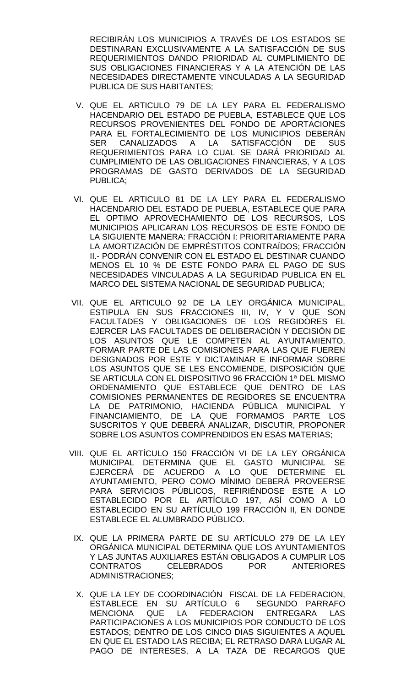RECIBIRÁN LOS MUNICIPIOS A TRAVÉS DE LOS ESTADOS SE DESTINARAN EXCLUSIVAMENTE A LA SATISFACCIÓN DE SUS REQUERIMIENTOS DANDO PRIORIDAD AL CUMPLIMIENTO DE SUS OBLIGACIONES FINANCIERAS Y A LA ATENCIÓN DE LAS NECESIDADES DIRECTAMENTE VINCULADAS A LA SEGURIDAD PUBLICA DE SUS HABITANTES;

- V. QUE EL ARTICULO 79 DE LA LEY PARA EL FEDERALISMO HACENDARIO DEL ESTADO DE PUEBLA, ESTABLECE QUE LOS RECURSOS PROVENIENTES DEL FONDO DE APORTACIONES PARA EL FORTALECIMIENTO DE LOS MUNICIPIOS DEBERÁN SER CANALIZADOS A LA SATISFACCIÓN DE SUS REQUERIMIENTOS PARA LO CUAL SE DARÁ PRIORIDAD AL CUMPLIMIENTO DE LAS OBLIGACIONES FINANCIERAS, Y A LOS PROGRAMAS DE GASTO DERIVADOS DE LA SEGURIDAD PUBLICA;
- VI. QUE EL ARTICULO 81 DE LA LEY PARA EL FEDERALISMO HACENDARIO DEL ESTADO DE PUEBLA, ESTABLECE QUE PARA EL OPTIMO APROVECHAMIENTO DE LOS RECURSOS, LOS MUNICIPIOS APLICARAN LOS RECURSOS DE ESTE FONDO DE LA SIGUIENTE MANERA: FRACCIÓN I: PRIORITARIAMENTE PARA LA AMORTIZACIÓN DE EMPRÉSTITOS CONTRAÍDOS; FRACCIÓN II.- PODRÁN CONVENIR CON EL ESTADO EL DESTINAR CUANDO MENOS EL 10 % DE ESTE FONDO PARA EL PAGO DE SUS NECESIDADES VINCULADAS A LA SEGURIDAD PUBLICA EN EL MARCO DEL SISTEMA NACIONAL DE SEGURIDAD PUBLICA;
- VII. QUE EL ARTICULO 92 DE LA LEY ORGÁNICA MUNICIPAL, ESTIPULA EN SUS FRACCIONES III, IV, Y V QUE SON FACULTADES Y OBLIGACIONES DE LOS REGIDORES EL EJERCER LAS FACULTADES DE DELIBERACIÓN Y DECISIÓN DE LOS ASUNTOS QUE LE COMPETEN AL AYUNTAMIENTO, FORMAR PARTE DE LAS COMISIONES PARA LAS QUE FUEREN DESIGNADOS POR ESTE Y DICTAMINAR E INFORMAR SOBRE LOS ASUNTOS QUE SE LES ENCOMIENDE, DISPOSICIÓN QUE SE ARTICULA CON EL DISPOSITIVO 96 FRACCIÓN 1ª DEL MISMO ORDENAMIENTO QUE ESTABLECE QUE DENTRO DE LAS COMISIONES PERMANENTES DE REGIDORES SE ENCUENTRA LA DE PATRIMONIO, HACIENDA PÚBLICA MUNICIPAL Y FINANCIAMIENTO, DE LA QUE FORMAMOS PARTE LOS SUSCRITOS Y QUE DEBERÁ ANALIZAR, DISCUTIR, PROPONER SOBRE LOS ASUNTOS COMPRENDIDOS EN ESAS MATERIAS;
- VIII. QUE EL ARTÍCULO 150 FRACCIÓN VI DE LA LEY ORGÁNICA MUNICIPAL DETERMINA QUE EL GASTO MUNICIPAL SE EJERCERÁ DE ACUERDO A LO QUE DETERMINE EL AYUNTAMIENTO, PERO COMO MÍNIMO DEBERÁ PROVEERSE PARA SERVICIOS PÚBLICOS, REFIRIÉNDOSE ESTE A LO ESTABLECIDO POR EL ARTÍCULO 197, ASÍ COMO A LO ESTABLECIDO EN SU ARTÍCULO 199 FRACCIÓN II, EN DONDE ESTABLECE EL ALUMBRADO PÚBLICO.
	- IX. QUE LA PRIMERA PARTE DE SU ARTÍCULO 279 DE LA LEY ORGÁNICA MUNICIPAL DETERMINA QUE LOS AYUNTAMIENTOS Y LAS JUNTAS AUXILIARES ESTÁN OBLIGADOS A CUMPLIR LOS CONTRATOS CELEBRADOS POR ANTERIORES ADMINISTRACIONES;
	- X. QUE LA LEY DE COORDINACIÓN FISCAL DE LA FEDERACION, ESTABLECE EN SU ARTÍCULO 6 SEGUNDO PARRAFO MENCIONA QUE LA FEDERACION ENTREGARA LAS PARTICIPACIONES A LOS MUNICIPIOS POR CONDUCTO DE LOS ESTADOS; DENTRO DE LOS CINCO DIAS SIGUIENTES A AQUEL EN QUE EL ESTADO LAS RECIBA; EL RETRASO DARA LUGAR AL PAGO DE INTERESES, A LA TAZA DE RECARGOS QUE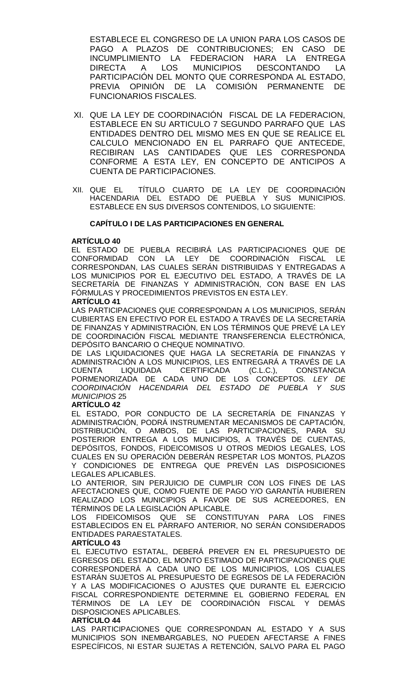ESTABLECE EL CONGRESO DE LA UNION PARA LOS CASOS DE PAGO A PLAZOS DE CONTRIBUCIONES; EN CASO DE INCUMPLIMIENTO LA FEDERACION HARA LA ENTREGA<br>DIRECTA A LOS MUNICIPIOS DESCONTANDO LA DIRECTA A LOS MUNICIPIOS DESCONTANDO LA PARTICIPACIÓN DEL MONTO QUE CORRESPONDA AL ESTADO, PREVIA OPINIÓN DE LA COMISIÓN PERMANENTE DE FUNCIONARIOS FISCALES.

- XI. QUE LA LEY DE COORDINACIÓN FISCAL DE LA FEDERACION, ESTABLECE EN SU ARTICULO 7 SEGUNDO PARRAFO QUE LAS ENTIDADES DENTRO DEL MISMO MES EN QUE SE REALICE EL CALCULO MENCIONADO EN EL PARRAFO QUE ANTECEDE, RECIBIRAN LAS CANTIDADES QUE LES CORRESPONDA CONFORME A ESTA LEY, EN CONCEPTO DE ANTICIPOS A CUENTA DE PARTICIPACIONES.
- XII. QUE EL TÍTULO CUARTO DE LA LEY DE COORDINACIÓN HACENDARIA DEL ESTADO DE PUEBLA Y SUS MUNICIPIOS. ESTABLECE EN SUS DIVERSOS CONTENIDOS, LO SIGUIENTE:

### **CAPÍTULO I DE LAS PARTICIPACIONES EN GENERAL**

### **ARTÍCULO 40**

EL ESTADO DE PUEBLA RECIBIRÁ LAS PARTICIPACIONES QUE DE<br>CONFORMIDAD CON LA LEY DE COORDINACIÓN FISCAL LE CON LA LEY DE COORDINACIÓN FISCAL LE CORRESPONDAN, LAS CUALES SERÁN DISTRIBUIDAS Y ENTREGADAS A LOS MUNICIPIOS POR EL EJECUTIVO DEL ESTADO, A TRAVÉS DE LA SECRETARÍA DE FINANZAS Y ADMINISTRACIÓN, CON BASE EN LAS FÓRMULAS Y PROCEDIMIENTOS PREVISTOS EN ESTA LEY.

### **ARTÍCULO 41**

LAS PARTICIPACIONES QUE CORRESPONDAN A LOS MUNICIPIOS, SERÁN CUBIERTAS EN EFECTIVO POR EL ESTADO A TRAVÉS DE LA SECRETARÍA DE FINANZAS Y ADMINISTRACIÓN, EN LOS TÉRMINOS QUE PREVÉ LA LEY DE COORDINACIÓN FISCAL MEDIANTE TRANSFERENCIA ELECTRÓNICA, DEPÓSITO BANCARIO O CHEQUE NOMINATIVO.

DE LAS LIQUIDACIONES QUE HAGA LA SECRETARÍA DE FINANZAS Y ADMINISTRACIÓN A LOS MUNICIPIOS, LES ENTREGARÁ A TRAVÉS DE LA CUENTA LIQUIDADA CERTIFICADA (C.L.C.), CONSTANCIA PORMENORIZADA DE CADA UNO DE LOS CONCEPTOS. *LEY DE COORDINACIÓN HACENDARIA DEL ESTADO DE PUEBLA Y SUS MUNICIPIOS* 25

### **ARTÍCULO 42**

EL ESTADO, POR CONDUCTO DE LA SECRETARÍA DE FINANZAS Y ADMINISTRACIÓN, PODRÁ INSTRUMENTAR MECANISMOS DE CAPTACIÓN, DISTRIBUCIÓN, O AMBOS, DE LAS PARTICIPACIONES, PARA SU POSTERIOR ENTREGA A LOS MUNICIPIOS, A TRAVÉS DE CUENTAS, DEPÓSITOS, FONDOS, FIDEICOMISOS U OTROS MEDIOS LEGALES, LOS CUALES EN SU OPERACIÓN DEBERÁN RESPETAR LOS MONTOS, PLAZOS Y CONDICIONES DE ENTREGA QUE PREVÉN LAS DISPOSICIONES LEGALES APLICABLES.

LO ANTERIOR, SIN PERJUICIO DE CUMPLIR CON LOS FINES DE LAS AFECTACIONES QUE, COMO FUENTE DE PAGO Y/O GARANTÍA HUBIEREN REALIZADO LOS MUNICIPIOS A FAVOR DE SUS ACREEDORES, EN TÉRMINOS DE LA LEGISLACIÓN APLICABLE.

LOS FIDEICOMISOS QUE SE CONSTITUYAN PARA LOS FINES ESTABLECIDOS EN EL PÁRRAFO ANTERIOR, NO SERÁN CONSIDERADOS ENTIDADES PARAESTATALES.

#### **ARTÍCULO 43**

EL EJECUTIVO ESTATAL, DEBERÁ PREVER EN EL PRESUPUESTO DE EGRESOS DEL ESTADO, EL MONTO ESTIMADO DE PARTICIPACIONES QUE CORRESPONDERÁ A CADA UNO DE LOS MUNICIPIOS, LOS CUALES ESTARÁN SUJETOS AL PRESUPUESTO DE EGRESOS DE LA FEDERACIÓN Y A LAS MODIFICACIONES O AJUSTES QUE DURANTE EL EJERCICIO FISCAL CORRESPONDIENTE DETERMINE EL GOBIERNO FEDERAL EN TÉRMINOS DE LA LEY DE COORDINACIÓN FISCAL Y DEMÁS DISPOSICIONES APLICABLES.

#### **ARTÍCULO 44**

LAS PARTICIPACIONES QUE CORRESPONDAN AL ESTADO Y A SUS MUNICIPIOS SON INEMBARGABLES, NO PUEDEN AFECTARSE A FINES ESPECÍFICOS, NI ESTAR SUJETAS A RETENCIÓN, SALVO PARA EL PAGO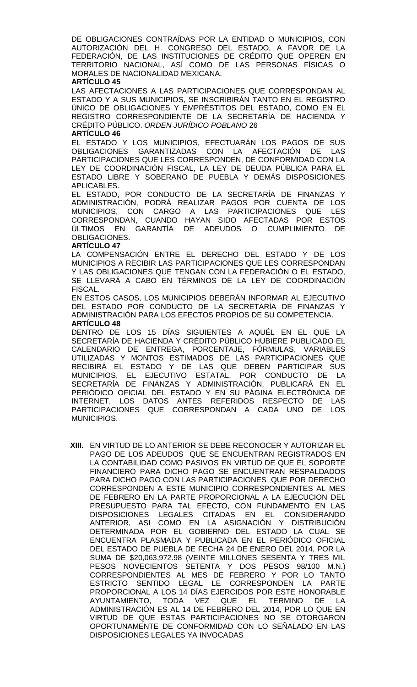DE OBLIGACIONES CONTRAÍDAS POR LA ENTIDAD O MUNICIPIOS, CON AUTORIZACIÓN DEL H. CONGRESO DEL ESTADO, A FAVOR DE LA FEDERACIÓN, DE LAS INSTITUCIONES DE CRÉDITO QUE OPEREN EN TERRITORIO NACIONAL, ASÍ COMO DE LAS PERSONAS FÍSICAS O MORALES DE NACIONALIDAD MEXICANA.

### **ARTÍCULO 45**

LAS AFECTACIONES A LAS PARTICIPACIONES QUE CORRESPONDAN AL ESTADO Y A SUS MUNICIPIOS, SE INSCRIBIRÁN TANTO EN EL REGISTRO ÚNICO DE OBLIGACIONES Y EMPRÉSTITOS DEL ESTADO, COMO EN EL REGISTRO CORRESPONDIENTE DE LA SECRETARÍA DE HACIENDA Y CRÉDITO PÚBLICO. *ORDEN JURÍDICO POBLANO* 26

#### **ARTÍCULO 46**

EL ESTADO Y LOS MUNICIPIOS, EFECTUARÁN LOS PAGOS DE SUS OBLIGACIONES GARANTIZADAS CON LA AFECTACIÓN DE LAS PARTICIPACIONES QUE LES CORRESPONDEN, DE CONFORMIDAD CON LA LEY DE COORDINACIÓN FISCAL, LA LEY DE DEUDA PÚBLICA PARA EL ESTADO LIBRE Y SOBERANO DE PUEBLA Y DEMÁS DISPOSICIONES APLICABLES.

EL ESTADO, POR CONDUCTO DE LA SECRETARÍA DE FINANZAS Y ADMINISTRACIÓN, PODRÁ REALIZAR PAGOS POR CUENTA DE LOS MUNICIPIOS, CON CARGO A LAS PARTICIPACIONES QUE LES CORRESPONDAN, CUANDO HAYAN SIDO AFECTADAS POR ESTOS ÚLTIMOS EN GARANTÍA DE ADEUDOS O CUMPLIMIENTO DE OBLIGACIONES.

### **ARTÍCULO 47**

LA COMPENSACIÓN ENTRE EL DERECHO DEL ESTADO Y DE LOS MUNICIPIOS A RECIBIR LAS PARTICIPACIONES QUE LES CORRESPONDAN Y LAS OBLIGACIONES QUE TENGAN CON LA FEDERACIÓN O EL ESTADO, SE LLEVARÁ A CABO EN TÉRMINOS DE LA LEY DE COORDINACIÓN FISCAL.

EN ESTOS CASOS, LOS MUNICIPIOS DEBERÁN INFORMAR AL EJECUTIVO DEL ESTADO POR CONDUCTO DE LA SECRETARÍA DE FINANZAS Y ADMINISTRACIÓN PARA LOS EFECTOS PROPIOS DE SU COMPETENCIA.

### **ARTÍCULO 48**

DENTRO DE LOS 15 DÍAS SIGUIENTES A AQUÉL EN EL QUE LA SECRETARÍA DE HACIENDA Y CRÉDITO PÚBLICO HUBIERE PUBLICADO EL CALENDARIO DE ENTREGA, PORCENTAJE, FÓRMULAS, VARIABLES UTILIZADAS Y MONTOS ESTIMADOS DE LAS PARTICIPACIONES QUE RECIBIRÁ EL ESTADO Y DE LAS QUE DEBEN PARTICIPAR SUS MUNICIPIOS, EL EJECUTIVO ESTATAL, POR CONDUCTO DE LA SECRETARÍA DE FINANZAS Y ADMINISTRACIÓN, PUBLICARÁ EN EL PERIÓDICO OFICIAL DEL ESTADO Y EN SU PÁGINA ELECTRÓNICA DE INTERNET, LOS DATOS ANTES REFERIDOS RESPECTO DE LAS PARTICIPACIONES QUE CORRESPONDAN A CADA UNO DE LOS MUNICIPIOS.

**XIII.** EN VIRTUD DE LO ANTERIOR SE DEBE RECONOCER Y AUTORIZAR EL PAGO DE LOS ADEUDOS QUE SE ENCUENTRAN REGISTRADOS EN LA CONTABILIDAD COMO PASIVOS EN VIRTUD DE QUE EL SOPORTE FINANCIERO PARA DICHO PAGO SE ENCUENTRAN RESPALDADOS PARA DICHO PAGO CON LAS PARTICIPACIONES QUE POR DERECHO CORRESPONDEN A ESTE MUNICIPIO CORRESPONDIENTES AL MES DE FEBRERO EN LA PARTE PROPORCIONAL A LA EJECUCION DEL PRESUPUESTO PARA TAL EFECTO, CON FUNDAMENTO EN LAS DISPOSICIONES LEGALES CITADAS EN EL CONSIDERANDO ANTERIOR, ASI COMO EN LA ASIGNACIÓN Y DISTRIBUCIÓN DETERMINADA POR EL GOBIERNO DEL ESTADO LA CUAL SE ENCUENTRA PLASMADA Y PUBLICADA EN EL PERIÓDICO OFICIAL DEL ESTADO DE PUEBLA DE FECHA 24 DE ENERO DEL 2014, POR LA SUMA DE \$20,063,972.98 (VEINTE MILLONES SESENTA Y TRES MIL PESOS NOVECIENTOS SETENTA Y DOS PESOS 98/100 M.N.) CORRESPONDIENTES AL MES DE FEBRERO Y POR LO TANTO ESTRICTO SENTIDO LEGAL LE CORRESPONDEN LA PARTE PROPORCIONAL A LOS 14 DÍAS EJERCIDOS POR ESTE HONORABLE AYUNTAMIENTO, TODA VEZ QUE EL TERMINO DE LA ADMINISTRACIÓN ES AL 14 DE FEBRERO DEL 2014, POR LO QUE EN VIRTUD DE QUE ESTAS PARTICIPACIONES NO SE OTORGARON OPORTUNAMENTE DE CONFORMIDAD CON LO SEÑALADO EN LAS DISPOSICIONES LEGALES YA INVOCADAS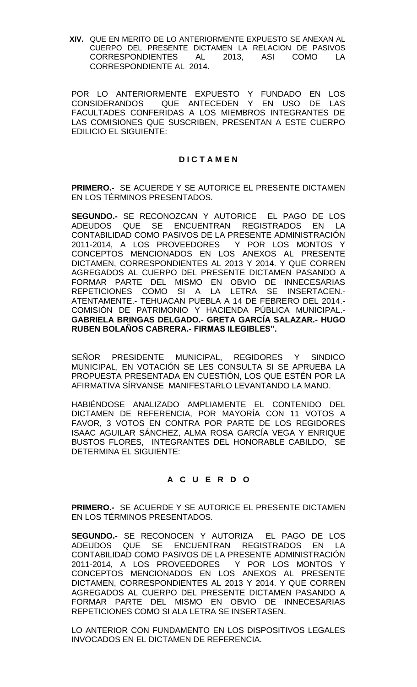**XIV.** QUE EN MERITO DE LO ANTERIORMENTE EXPUESTO SE ANEXAN AL CUERPO DEL PRESENTE DICTAMEN LA RELACION DE PASIVOS CORRESPONDIENTES AL 2013, ASI COMO LA CORRESPONDIENTE AL 2014.

POR LO ANTERIORMENTE EXPUESTO Y FUNDADO EN LOS CONSIDERANDOS QUE ANTECEDEN Y EN USO DE LAS FACULTADES CONFERIDAS A LOS MIEMBROS INTEGRANTES DE LAS COMISIONES QUE SUSCRIBEN, PRESENTAN A ESTE CUERPO EDILICIO EL SIGUIENTE:

## **D I C T A M E N**

**PRIMERO.-** SE ACUERDE Y SE AUTORICE EL PRESENTE DICTAMEN EN LOS TÉRMINOS PRESENTADOS.

**SEGUNDO.-** SE RECONOZCAN Y AUTORICE EL PAGO DE LOS ADEUDOS QUE SE ENCUENTRAN REGISTRADOS EN LA CONTABILIDAD COMO PASIVOS DE LA PRESENTE ADMINISTRACIÓN 2011-2014, A LOS PROVEEDORES Y POR LOS MONTOS Y CONCEPTOS MENCIONADOS EN LOS ANEXOS AL PRESENTE DICTAMEN, CORRESPONDIENTES AL 2013 Y 2014. Y QUE CORREN AGREGADOS AL CUERPO DEL PRESENTE DICTAMEN PASANDO A FORMAR PARTE DEL MISMO EN OBVIO DE INNECESARIAS REPETICIONES COMO SI A LA LETRA SE INSERTACEN.- ATENTAMENTE.- TEHUACAN PUEBLA A 14 DE FEBRERO DEL 2014.- COMISIÓN DE PATRIMONIO Y HACIENDA PÚBLICA MUNICIPAL.- **GABRIELA BRINGAS DELGADO.- GRETA GARCÍA SALAZAR.- HUGO RUBEN BOLAÑOS CABRERA.- FIRMAS ILEGIBLES".**

SEÑOR PRESIDENTE MUNICIPAL, REGIDORES Y SINDICO MUNICIPAL, EN VOTACIÓN SE LES CONSULTA SI SE APRUEBA LA PROPUESTA PRESENTADA EN CUESTIÓN, LOS QUE ESTÉN POR LA AFIRMATIVA SÍRVANSE MANIFESTARLO LEVANTANDO LA MANO.

HABIÉNDOSE ANALIZADO AMPLIAMENTE EL CONTENIDO DEL DICTAMEN DE REFERENCIA, POR MAYORÍA CON 11 VOTOS A FAVOR, 3 VOTOS EN CONTRA POR PARTE DE LOS REGIDORES ISAAC AGUILAR SÁNCHEZ, ALMA ROSA GARCÍA VEGA Y ENRIQUE BUSTOS FLORES, INTEGRANTES DEL HONORABLE CABILDO, SE DETERMINA EL SIGUIENTE:

# **A C U E R D O**

**PRIMERO.-** SE ACUERDE Y SE AUTORICE EL PRESENTE DICTAMEN EN LOS TÉRMINOS PRESENTADOS.

**SEGUNDO.-** SE RECONOCEN Y AUTORIZA EL PAGO DE LOS ADEUDOS QUE SE ENCUENTRAN REGISTRADOS EN LA CONTABILIDAD COMO PASIVOS DE LA PRESENTE ADMINISTRACIÓN 2011-2014, A LOS PROVEEDORES Y POR LOS MONTOS Y CONCEPTOS MENCIONADOS EN LOS ANEXOS AL PRESENTE DICTAMEN, CORRESPONDIENTES AL 2013 Y 2014. Y QUE CORREN AGREGADOS AL CUERPO DEL PRESENTE DICTAMEN PASANDO A FORMAR PARTE DEL MISMO EN OBVIO DE INNECESARIAS REPETICIONES COMO SI ALA LETRA SE INSERTASEN.

LO ANTERIOR CON FUNDAMENTO EN LOS DISPOSITIVOS LEGALES INVOCADOS EN EL DICTAMEN DE REFERENCIA.